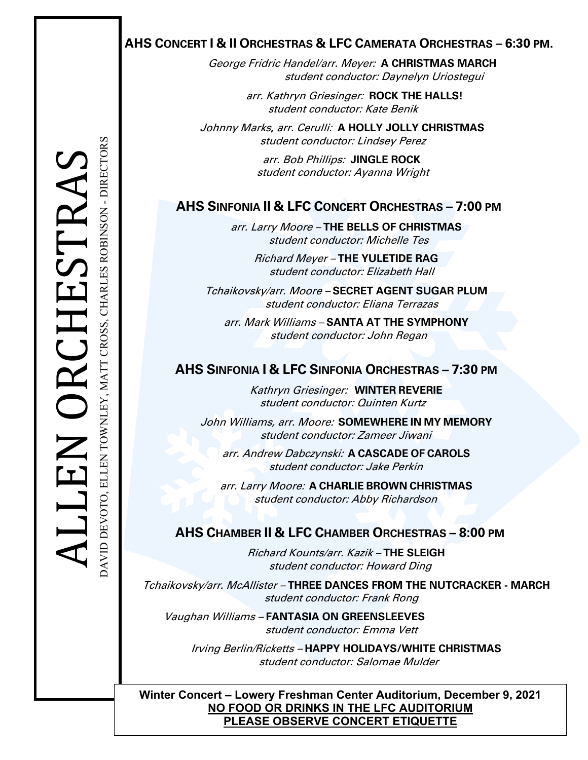# **AHS CONCERT I & II ORCHESTRAS & LFC CAMERATA ORCHESTRAS – 6:30 PM.**

George Fridric Handel/arr. Meyer: **A CHRISTMAS MARCH** student conductor: Daynelyn Uriostegui

> arr. Kathryn Griesinger: **ROCK THE HALLS!** student conductor: Kate Benik

 Johnny Marks**,** arr. Cerulli: **A HOLLY JOLLY CHRISTMAS** student conductor: Lindsey Perez

> arr. Bob Phillips: **JINGLE ROCK** student conductor: Ayanna Wright

arr. Larry Moore – **THE BELLS OF CHRISTMAS** student conductor: Michelle Tes

> Richard Meyer – **THE YULETIDE RAG** student conductor: Elizabeth Hall

Tchaikovsky/arr. Moore – **SECRET AGENT SUGAR PLUM** student conductor: Eliana Terrazas

arr. Mark Williams – **SANTA AT THE SYMPHONY** student conductor: John Regan

# **AHS SINFONIA I & LFC SINFONIA ORCHESTRAS – 7:30 PM**

Kathryn Griesinger: **WINTER REVERIE** student conductor: Quinten Kurtz

John Williams, arr. Moore: **SOMEWHERE IN MY MEMORY** student conductor: Zameer Jiwani

arr. Andrew Dabczynski: **A CASCADE OF CAROLS** student conductor: Jake Perkin

arr. Larry Moore: **A CHARLIE BROWN CHRISTMAS** student conductor: Abby Richardson

**EXAMPLE SHOWN CHAMAS**<br>
Student conductor: Abby Richardson<br> **AHS CHAMBER II & LFC CHAMBER ORCHESTRAS – 8:00 PM**<br>
Richard Kounts/arr. Kazik – THE SLEIGH<br>
student conductor: Howard Ding Richard Kounts/arr. Kazik – **THE SLEIGH** student conductor: Howard Ding

> Tchaikovsky/arr. McAllister – **THREE DANCES FROM THE NUTCRACKER - MARCH** student conductor: Frank Rong

Vaughan Williams – **FANTASIA ON GREENSLEEVES** student conductor: Emma Vett

Irving Berlin/Ricketts – **HAPPY HOLIDAYS/WHITE CHRISTMAS** student conductor: Salomae Mulder

**Winter Concert – Lowery Freshman Center Auditorium, December 9, 2021 NO FOOD OR DRINKS IN THE LFC AUDITORIUM PLEASE OBSERVE CONCERT ETIQUETTE**